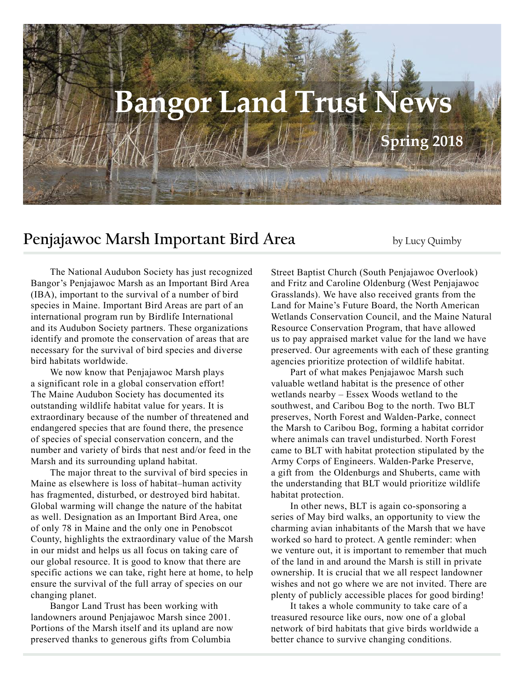# **Bangor Land Trust News Spring 2018**

# **Penjajawoc Marsh Important Bird Area** by Lucy Quimby

The National Audubon Society has just recognized Bangor's Penjajawoc Marsh as an Important Bird Area (IBA), important to the survival of a number of bird species in Maine. Important Bird Areas are part of an international program run by Birdlife International and its Audubon Society partners. These organizations identify and promote the conservation of areas that are necessary for the survival of bird species and diverse bird habitats worldwide.

We now know that Penjajawoc Marsh plays a significant role in a global conservation effort! The Maine Audubon Society has documented its outstanding wildlife habitat value for years. It is extraordinary because of the number of threatened and endangered species that are found there, the presence of species of special conservation concern, and the number and variety of birds that nest and/or feed in the Marsh and its surrounding upland habitat.

The major threat to the survival of bird species in Maine as elsewhere is loss of habitat–human activity has fragmented, disturbed, or destroyed bird habitat. Global warming will change the nature of the habitat as well. Designation as an Important Bird Area, one of only 78 in Maine and the only one in Penobscot County, highlights the extraordinary value of the Marsh in our midst and helps us all focus on taking care of our global resource. It is good to know that there are specific actions we can take, right here at home, to help ensure the survival of the full array of species on our changing planet.

Bangor Land Trust has been working with landowners around Penjajawoc Marsh since 2001. Portions of the Marsh itself and its upland are now preserved thanks to generous gifts from Columbia

Street Baptist Church (South Penjajawoc Overlook) and Fritz and Caroline Oldenburg (West Penjajawoc Grasslands). We have also received grants from the Land for Maine's Future Board, the North American Wetlands Conservation Council, and the Maine Natural Resource Conservation Program, that have allowed us to pay appraised market value for the land we have preserved. Our agreements with each of these granting agencies prioritize protection of wildlife habitat.

Part of what makes Penjajawoc Marsh such valuable wetland habitat is the presence of other wetlands nearby – Essex Woods wetland to the southwest, and Caribou Bog to the north. Two BLT preserves, North Forest and Walden-Parke, connect the Marsh to Caribou Bog, forming a habitat corridor where animals can travel undisturbed. North Forest came to BLT with habitat protection stipulated by the Army Corps of Engineers. Walden-Parke Preserve, a gift from the Oldenburgs and Shuberts, came with the understanding that BLT would prioritize wildlife habitat protection.

In other news, BLT is again co-sponsoring a series of May bird walks, an opportunity to view the charming avian inhabitants of the Marsh that we have worked so hard to protect. A gentle reminder: when we venture out, it is important to remember that much of the land in and around the Marsh is still in private ownership. It is crucial that we all respect landowner wishes and not go where we are not invited. There are plenty of publicly accessible places for good birding!

It takes a whole community to take care of a treasured resource like ours, now one of a global network of bird habitats that give birds worldwide a better chance to survive changing conditions.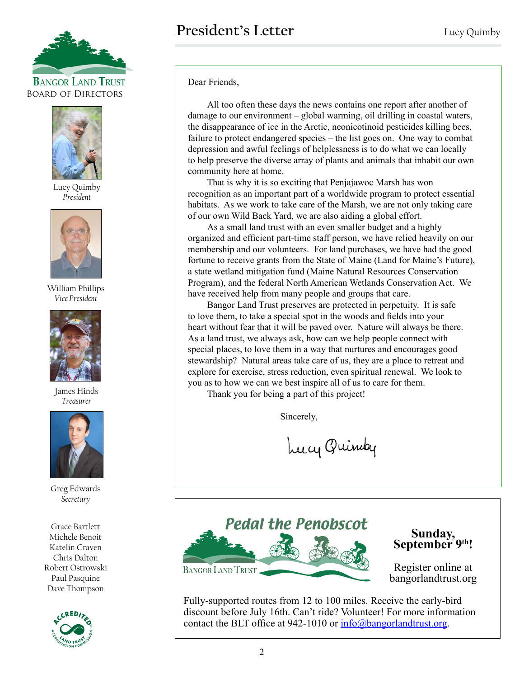



Lucy Quimby *President*



William Phillips *Vice President*



James Hinds *Treasurer*



Greg Edwards *Secretary*

Grace Bartlett Michele Benoit Katelin Craven Chris Dalton Robert Ostrowski Paul Pasquine Dave Thompson



Dear Friends,

All too often these days the news contains one report after another of damage to our environment – global warming, oil drilling in coastal waters, the disappearance of ice in the Arctic, neonicotinoid pesticides killing bees, failure to protect endangered species – the list goes on. One way to combat depression and awful feelings of helplessness is to do what we can locally to help preserve the diverse array of plants and animals that inhabit our own community here at home.

That is why it is so exciting that Penjajawoc Marsh has won recognition as an important part of a worldwide program to protect essential habitats. As we work to take care of the Marsh, we are not only taking care of our own Wild Back Yard, we are also aiding a global effort.

As a small land trust with an even smaller budget and a highly organized and efficient part-time staff person, we have relied heavily on our membership and our volunteers. For land purchases, we have had the good fortune to receive grants from the State of Maine (Land for Maine's Future), a state wetland mitigation fund (Maine Natural Resources Conservation Program), and the federal North American Wetlands Conservation Act. We have received help from many people and groups that care.

Bangor Land Trust preserves are protected in perpetuity. It is safe to love them, to take a special spot in the woods and fields into your heart without fear that it will be paved over. Nature will always be there. As a land trust, we always ask, how can we help people connect with special places, to love them in a way that nurtures and encourages good stewardship? Natural areas take care of us, they are a place to retreat and explore for exercise, stress reduction, even spiritual renewal. We look to you as to how we can we best inspire all of us to care for them.

Thank you for being a part of this project!

Sincerely,

Lucy Quindy



**Sunday, September 9th!**

Register online at bangorlandtrust.org

Fully-supported routes from 12 to 100 miles. Receive the early-bird discount before July 16th. Can't ride? Volunteer! For more information contact the BLT office at 942-1010 or  $info@bangorlandtrust.org$ .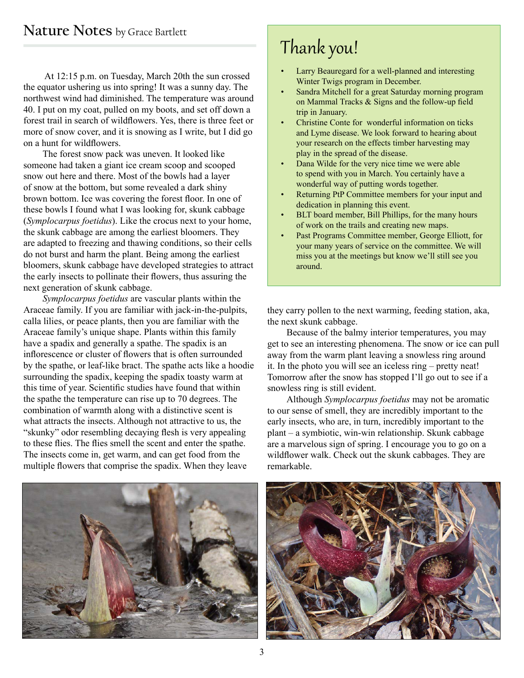At 12:15 p.m. on Tuesday, March 20th the sun crossed the equator ushering us into spring! It was a sunny day. The northwest wind had diminished. The temperature was around 40. I put on my coat, pulled on my boots, and set off down a forest trail in search of wildflowers. Yes, there is three feet or more of snow cover, and it is snowing as I write, but I did go on a hunt for wildflowers.

The forest snow pack was uneven. It looked like someone had taken a giant ice cream scoop and scooped snow out here and there. Most of the bowls had a layer of snow at the bottom, but some revealed a dark shiny brown bottom. Ice was covering the forest floor. In one of these bowls I found what I was looking for, skunk cabbage (*Symplocarpus foetidus*). Like the crocus next to your home, the skunk cabbage are among the earliest bloomers. They are adapted to freezing and thawing conditions, so their cells do not burst and harm the plant. Being among the earliest bloomers, skunk cabbage have developed strategies to attract the early insects to pollinate their flowers, thus assuring the next generation of skunk cabbage.

*Symplocarpus foetidus* are vascular plants within the Araceae family. If you are familiar with jack-in-the-pulpits, calla lilies, or peace plants, then you are familiar with the Araceae family's unique shape. Plants within this family have a spadix and generally a spathe. The spadix is an inflorescence or cluster of flowers that is often surrounded by the spathe, or leaf-like bract. The spathe acts like a hoodie surrounding the spadix, keeping the spadix toasty warm at this time of year. Scientific studies have found that within the spathe the temperature can rise up to 70 degrees. The combination of warmth along with a distinctive scent is what attracts the insects. Although not attractive to us, the "skunky" odor resembling decaying flesh is very appealing to these flies. The flies smell the scent and enter the spathe. The insects come in, get warm, and can get food from the multiple flowers that comprise the spadix. When they leave

# Thank you!

- Larry Beauregard for a well-planned and interesting Winter Twigs program in December.
- Sandra Mitchell for a great Saturday morning program on Mammal Tracks & Signs and the follow-up field trip in January.
- Christine Conte for wonderful information on ticks and Lyme disease. We look forward to hearing about your research on the effects timber harvesting may play in the spread of the disease.
- Dana Wilde for the very nice time we were able to spend with you in March. You certainly have a wonderful way of putting words together.
- Returning PtP Committee members for your input and dedication in planning this event.
- BLT board member, Bill Phillips, for the many hours of work on the trails and creating new maps.
- Past Programs Committee member, George Elliott, for your many years of service on the committee. We will miss you at the meetings but know we'll still see you around.

they carry pollen to the next warming, feeding station, aka, the next skunk cabbage.

Because of the balmy interior temperatures, you may get to see an interesting phenomena. The snow or ice can pull away from the warm plant leaving a snowless ring around it. In the photo you will see an iceless ring – pretty neat! Tomorrow after the snow has stopped I'll go out to see if a snowless ring is still evident.

Although *Symplocarpus foetidus* may not be aromatic to our sense of smell, they are incredibly important to the early insects, who are, in turn, incredibly important to the plant – a symbiotic, win-win relationship. Skunk cabbage are a marvelous sign of spring. I encourage you to go on a wildflower walk. Check out the skunk cabbages. They are remarkable.